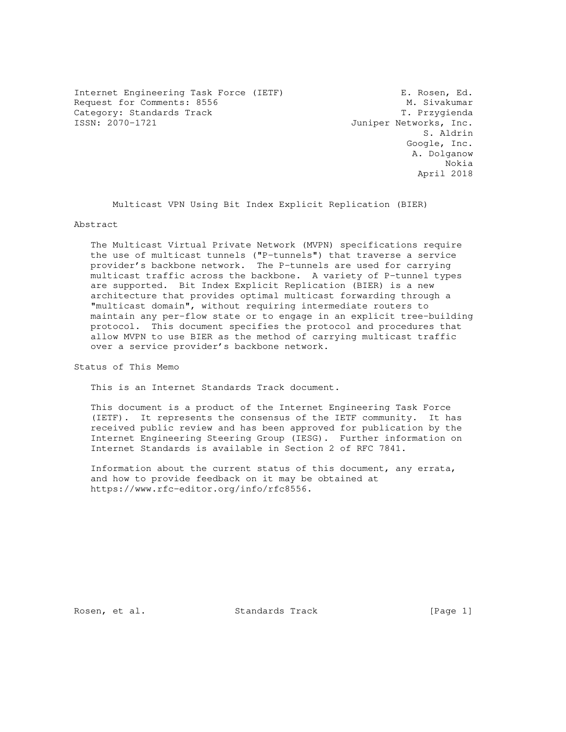Internet Engineering Task Force (IETF) Fash Form E. Rosen, Ed. Request for Comments: 8556 M. Sivakumar<br>Category: Standards Track M. Sivakumar (Request of the Marine Marine Marine Marine Marine Marine Marine Marine Category: Standards Track<br>ISSN: 2070-1721

Juniper Networks, Inc. S. Aldrin Google, Inc. A. Dolganow Nokia April 2018

Multicast VPN Using Bit Index Explicit Replication (BIER)

#### Abstract

 The Multicast Virtual Private Network (MVPN) specifications require the use of multicast tunnels ("P-tunnels") that traverse a service provider's backbone network. The P-tunnels are used for carrying multicast traffic across the backbone. A variety of P-tunnel types are supported. Bit Index Explicit Replication (BIER) is a new architecture that provides optimal multicast forwarding through a "multicast domain", without requiring intermediate routers to maintain any per-flow state or to engage in an explicit tree-building protocol. This document specifies the protocol and procedures that allow MVPN to use BIER as the method of carrying multicast traffic over a service provider's backbone network.

Status of This Memo

This is an Internet Standards Track document.

 This document is a product of the Internet Engineering Task Force (IETF). It represents the consensus of the IETF community. It has received public review and has been approved for publication by the Internet Engineering Steering Group (IESG). Further information on Internet Standards is available in Section 2 of RFC 7841.

 Information about the current status of this document, any errata, and how to provide feedback on it may be obtained at https://www.rfc-editor.org/info/rfc8556.

Rosen, et al. Standards Track [Page 1]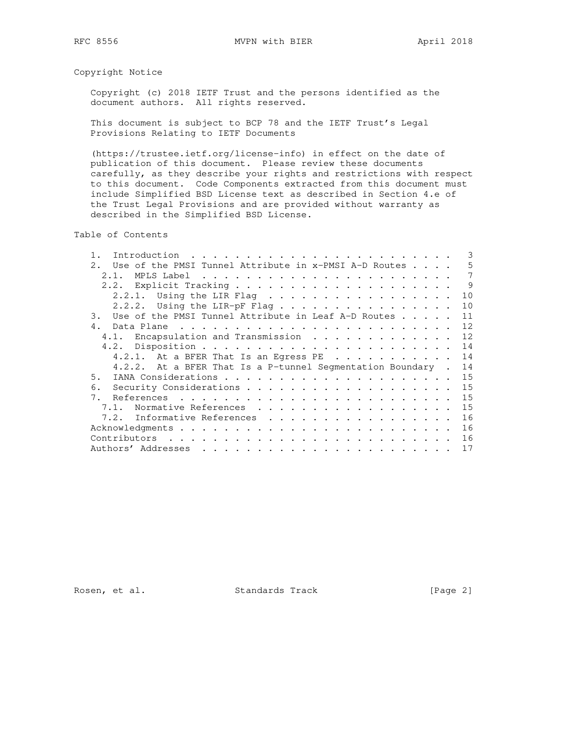Copyright Notice

 Copyright (c) 2018 IETF Trust and the persons identified as the document authors. All rights reserved.

 This document is subject to BCP 78 and the IETF Trust's Legal Provisions Relating to IETF Documents

 (https://trustee.ietf.org/license-info) in effect on the date of publication of this document. Please review these documents carefully, as they describe your rights and restrictions with respect to this document. Code Components extracted from this document must include Simplified BSD License text as described in Section 4.e of the Trust Legal Provisions and are provided without warranty as described in the Simplified BSD License.

Table of Contents

| Introduction                                                               |  | 3  |
|----------------------------------------------------------------------------|--|----|
| Use of the PMSI Tunnel Attribute in $x$ -PMSI A-D Routes $\ldots$ .<br>2.1 |  | 5  |
| 2.1                                                                        |  | 7  |
|                                                                            |  | 9  |
| 2.2.1. Using the LIR Flag $\ldots$                                         |  | 10 |
| Using the LIR-pF Flag<br>2, 2, 2,                                          |  | 10 |
| Use of the PMSI Tunnel Attribute in Leaf A-D Routes<br>3.                  |  | 11 |
| 4.<br>Data Plane                                                           |  | 12 |
| 4.1. Encapsulation and Transmission                                        |  | 12 |
|                                                                            |  | 14 |
| 4.2.1. At a BFER That Is an Egress PE                                      |  | 14 |
| 4.2.2. At a BFER That Is a P-tunnel Seqmentation Boundary.                 |  | 14 |
| 5.                                                                         |  | 15 |
| 6.                                                                         |  | 15 |
| 7.                                                                         |  | 15 |
| Normative References<br>7.1                                                |  | 15 |
| 7.2. Informative References                                                |  | 16 |
|                                                                            |  | 16 |
|                                                                            |  | 16 |
|                                                                            |  | 17 |

Rosen, et al. Standards Track [Page 2]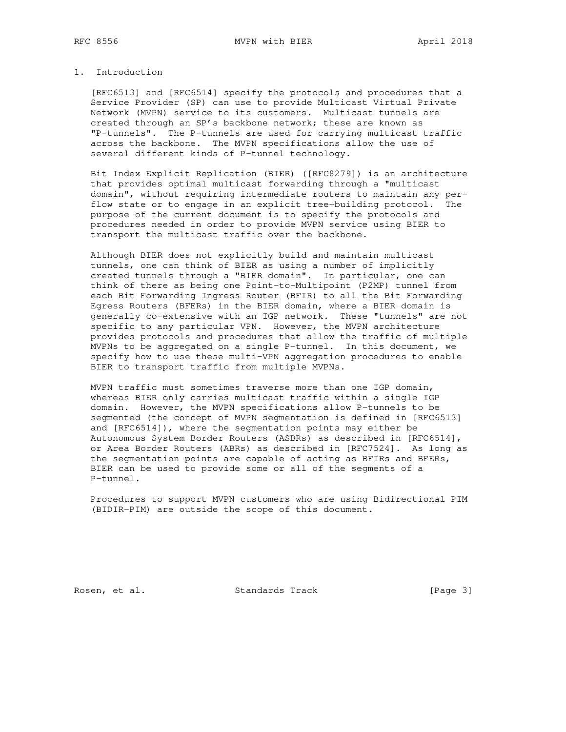## 1. Introduction

 [RFC6513] and [RFC6514] specify the protocols and procedures that a Service Provider (SP) can use to provide Multicast Virtual Private Network (MVPN) service to its customers. Multicast tunnels are created through an SP's backbone network; these are known as "P-tunnels". The P-tunnels are used for carrying multicast traffic across the backbone. The MVPN specifications allow the use of several different kinds of P-tunnel technology.

 Bit Index Explicit Replication (BIER) ([RFC8279]) is an architecture that provides optimal multicast forwarding through a "multicast domain", without requiring intermediate routers to maintain any per flow state or to engage in an explicit tree-building protocol. The purpose of the current document is to specify the protocols and procedures needed in order to provide MVPN service using BIER to transport the multicast traffic over the backbone.

 Although BIER does not explicitly build and maintain multicast tunnels, one can think of BIER as using a number of implicitly created tunnels through a "BIER domain". In particular, one can think of there as being one Point-to-Multipoint (P2MP) tunnel from each Bit Forwarding Ingress Router (BFIR) to all the Bit Forwarding Egress Routers (BFERs) in the BIER domain, where a BIER domain is generally co-extensive with an IGP network. These "tunnels" are not specific to any particular VPN. However, the MVPN architecture provides protocols and procedures that allow the traffic of multiple MVPNs to be aggregated on a single P-tunnel. In this document, we specify how to use these multi-VPN aggregation procedures to enable BIER to transport traffic from multiple MVPNs.

 MVPN traffic must sometimes traverse more than one IGP domain, whereas BIER only carries multicast traffic within a single IGP domain. However, the MVPN specifications allow P-tunnels to be segmented (the concept of MVPN segmentation is defined in [RFC6513] and [RFC6514]), where the segmentation points may either be Autonomous System Border Routers (ASBRs) as described in [RFC6514], or Area Border Routers (ABRs) as described in [RFC7524]. As long as the segmentation points are capable of acting as BFIRs and BFERs, BIER can be used to provide some or all of the segments of a P-tunnel.

 Procedures to support MVPN customers who are using Bidirectional PIM (BIDIR-PIM) are outside the scope of this document.

Rosen, et al. Standards Track [Page 3]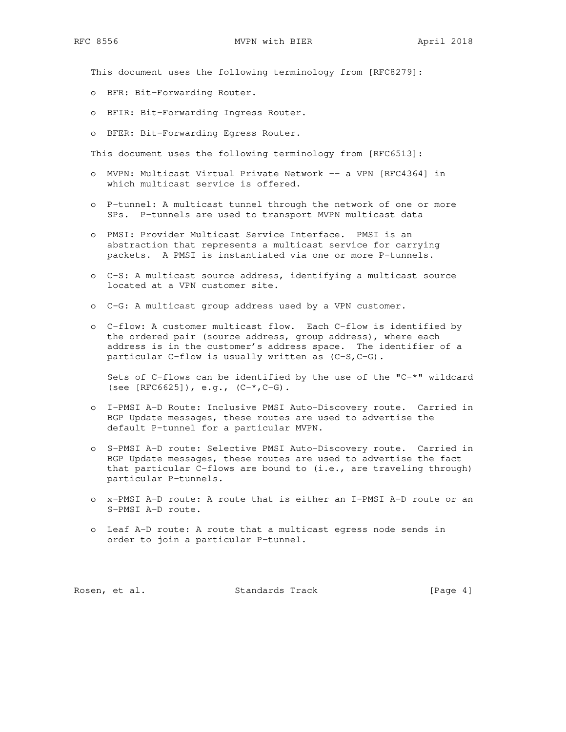This document uses the following terminology from [RFC8279]:

- o BFR: Bit-Forwarding Router.
- o BFIR: Bit-Forwarding Ingress Router.
- o BFER: Bit-Forwarding Egress Router.

This document uses the following terminology from [RFC6513]:

- o MVPN: Multicast Virtual Private Network -- a VPN [RFC4364] in which multicast service is offered.
- o P-tunnel: A multicast tunnel through the network of one or more SPs. P-tunnels are used to transport MVPN multicast data
- o PMSI: Provider Multicast Service Interface. PMSI is an abstraction that represents a multicast service for carrying packets. A PMSI is instantiated via one or more P-tunnels.
- o C-S: A multicast source address, identifying a multicast source located at a VPN customer site.
- o C-G: A multicast group address used by a VPN customer.
- o C-flow: A customer multicast flow. Each C-flow is identified by the ordered pair (source address, group address), where each address is in the customer's address space. The identifier of a particular C-flow is usually written as (C-S,C-G).

 Sets of C-flows can be identified by the use of the "C-\*" wildcard (see  $[RFC6625])$ , e.g.,  $(C-*$ ,  $C-G)$ .

- o I-PMSI A-D Route: Inclusive PMSI Auto-Discovery route. Carried in BGP Update messages, these routes are used to advertise the default P-tunnel for a particular MVPN.
- o S-PMSI A-D route: Selective PMSI Auto-Discovery route. Carried in BGP Update messages, these routes are used to advertise the fact that particular C-flows are bound to (i.e., are traveling through) particular P-tunnels.
- o x-PMSI A-D route: A route that is either an I-PMSI A-D route or an S-PMSI A-D route.
- o Leaf A-D route: A route that a multicast egress node sends in order to join a particular P-tunnel.

Rosen, et al. Standards Track [Page 4]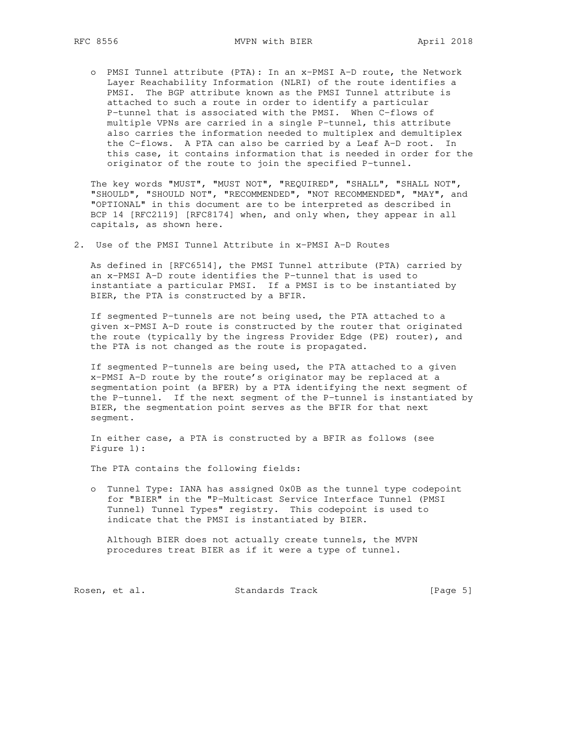o PMSI Tunnel attribute (PTA): In an x-PMSI A-D route, the Network Layer Reachability Information (NLRI) of the route identifies a PMSI. The BGP attribute known as the PMSI Tunnel attribute is attached to such a route in order to identify a particular P-tunnel that is associated with the PMSI. When C-flows of multiple VPNs are carried in a single P-tunnel, this attribute also carries the information needed to multiplex and demultiplex the C-flows. A PTA can also be carried by a Leaf A-D root. In this case, it contains information that is needed in order for the originator of the route to join the specified P-tunnel.

 The key words "MUST", "MUST NOT", "REQUIRED", "SHALL", "SHALL NOT", "SHOULD", "SHOULD NOT", "RECOMMENDED", "NOT RECOMMENDED", "MAY", and "OPTIONAL" in this document are to be interpreted as described in BCP 14 [RFC2119] [RFC8174] when, and only when, they appear in all capitals, as shown here.

2. Use of the PMSI Tunnel Attribute in x-PMSI A-D Routes

 As defined in [RFC6514], the PMSI Tunnel attribute (PTA) carried by an x-PMSI A-D route identifies the P-tunnel that is used to instantiate a particular PMSI. If a PMSI is to be instantiated by BIER, the PTA is constructed by a BFIR.

 If segmented P-tunnels are not being used, the PTA attached to a given x-PMSI A-D route is constructed by the router that originated the route (typically by the ingress Provider Edge (PE) router), and the PTA is not changed as the route is propagated.

 If segmented P-tunnels are being used, the PTA attached to a given x-PMSI A-D route by the route's originator may be replaced at a segmentation point (a BFER) by a PTA identifying the next segment of the P-tunnel. If the next segment of the P-tunnel is instantiated by BIER, the segmentation point serves as the BFIR for that next segment.

 In either case, a PTA is constructed by a BFIR as follows (see Figure 1):

The PTA contains the following fields:

 o Tunnel Type: IANA has assigned 0x0B as the tunnel type codepoint for "BIER" in the "P-Multicast Service Interface Tunnel (PMSI Tunnel) Tunnel Types" registry. This codepoint is used to indicate that the PMSI is instantiated by BIER.

 Although BIER does not actually create tunnels, the MVPN procedures treat BIER as if it were a type of tunnel.

Rosen, et al. Standards Track [Page 5]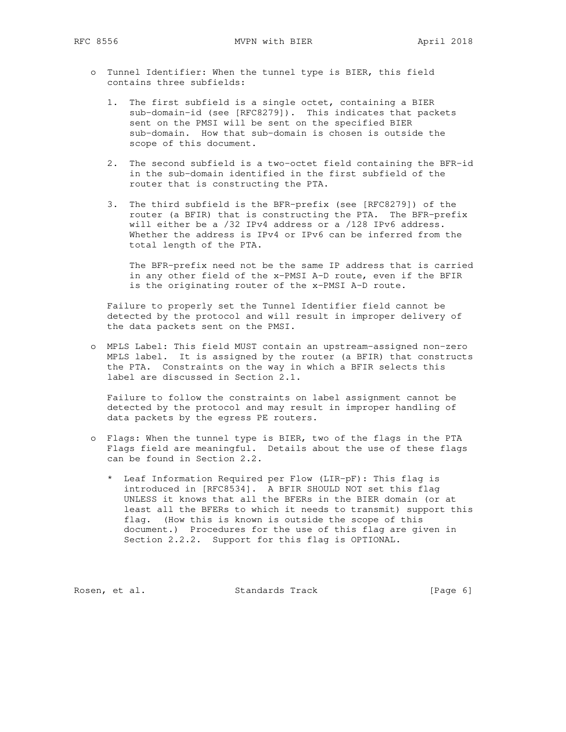RFC 8556 MVPN with BIER April 2018

- o Tunnel Identifier: When the tunnel type is BIER, this field contains three subfields:
	- 1. The first subfield is a single octet, containing a BIER sub-domain-id (see [RFC8279]). This indicates that packets sent on the PMSI will be sent on the specified BIER sub-domain. How that sub-domain is chosen is outside the scope of this document.
	- 2. The second subfield is a two-octet field containing the BFR-id in the sub-domain identified in the first subfield of the router that is constructing the PTA.
	- 3. The third subfield is the BFR-prefix (see [RFC8279]) of the router (a BFIR) that is constructing the PTA. The BFR-prefix will either be a /32 IPv4 address or a /128 IPv6 address. Whether the address is IPv4 or IPv6 can be inferred from the total length of the PTA.

 The BFR-prefix need not be the same IP address that is carried in any other field of the x-PMSI A-D route, even if the BFIR is the originating router of the x-PMSI A-D route.

 Failure to properly set the Tunnel Identifier field cannot be detected by the protocol and will result in improper delivery of the data packets sent on the PMSI.

 o MPLS Label: This field MUST contain an upstream-assigned non-zero MPLS label. It is assigned by the router (a BFIR) that constructs the PTA. Constraints on the way in which a BFIR selects this label are discussed in Section 2.1.

 Failure to follow the constraints on label assignment cannot be detected by the protocol and may result in improper handling of data packets by the egress PE routers.

- o Flags: When the tunnel type is BIER, two of the flags in the PTA Flags field are meaningful. Details about the use of these flags can be found in Section 2.2.
	- \* Leaf Information Required per Flow (LIR-pF): This flag is introduced in [RFC8534]. A BFIR SHOULD NOT set this flag UNLESS it knows that all the BFERs in the BIER domain (or at least all the BFERs to which it needs to transmit) support this flag. (How this is known is outside the scope of this document.) Procedures for the use of this flag are given in Section 2.2.2. Support for this flag is OPTIONAL.

Rosen, et al. Standards Track [Page 6]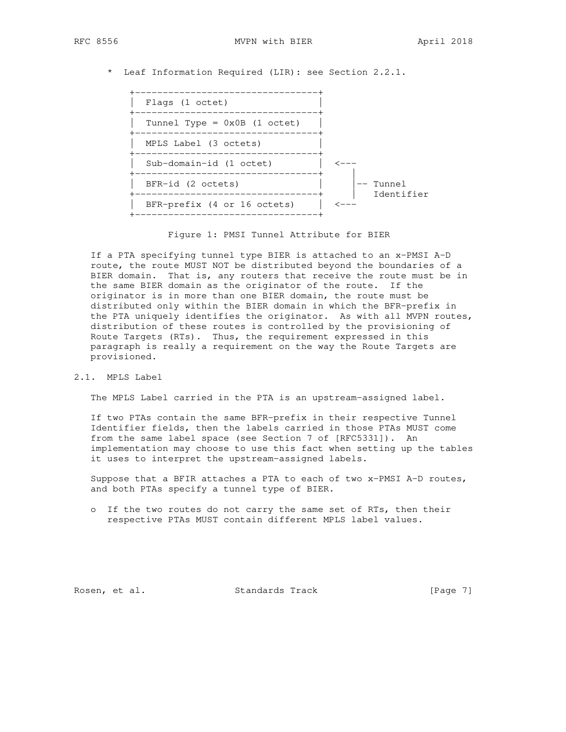\* Leaf Information Required (LIR): see Section 2.2.1.

| Flags (1 octet)                              |                      |  |
|----------------------------------------------|----------------------|--|
| Tunnel Type = $0x0B$ (1 octet)<br>---------- |                      |  |
| MPLS Label (3 octets)                        |                      |  |
| Sub-domain-id (1 octet)                      |                      |  |
| BFR-id (2 octets)                            | Tunnel<br>Identifier |  |
| BFR-prefix (4 or 16 octets)                  |                      |  |
|                                              |                      |  |

Figure 1: PMSI Tunnel Attribute for BIER

 If a PTA specifying tunnel type BIER is attached to an x-PMSI A-D route, the route MUST NOT be distributed beyond the boundaries of a BIER domain. That is, any routers that receive the route must be in the same BIER domain as the originator of the route. If the originator is in more than one BIER domain, the route must be distributed only within the BIER domain in which the BFR-prefix in the PTA uniquely identifies the originator. As with all MVPN routes, distribution of these routes is controlled by the provisioning of Route Targets (RTs). Thus, the requirement expressed in this paragraph is really a requirement on the way the Route Targets are provisioned.

2.1. MPLS Label

The MPLS Label carried in the PTA is an upstream-assigned label.

 If two PTAs contain the same BFR-prefix in their respective Tunnel Identifier fields, then the labels carried in those PTAs MUST come from the same label space (see Section 7 of [RFC5331]). An implementation may choose to use this fact when setting up the tables it uses to interpret the upstream-assigned labels.

 Suppose that a BFIR attaches a PTA to each of two x-PMSI A-D routes, and both PTAs specify a tunnel type of BIER.

 o If the two routes do not carry the same set of RTs, then their respective PTAs MUST contain different MPLS label values.

Rosen, et al. Standards Track [Page 7]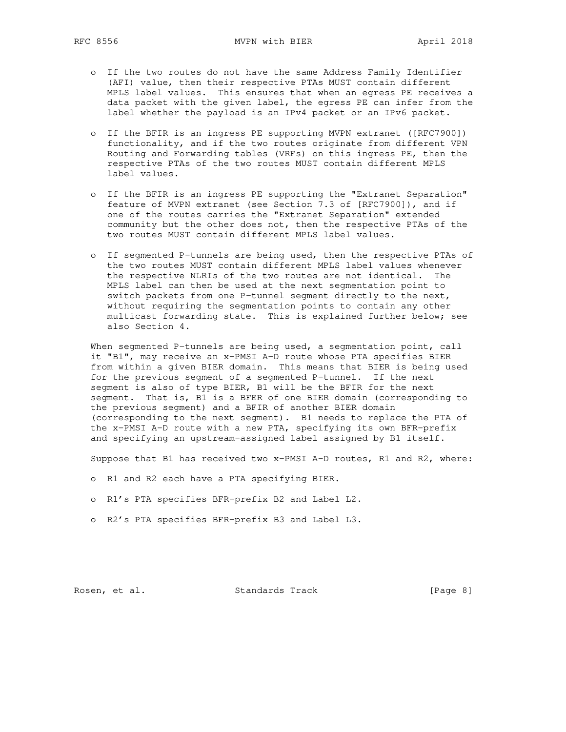- o If the two routes do not have the same Address Family Identifier (AFI) value, then their respective PTAs MUST contain different MPLS label values. This ensures that when an egress PE receives a data packet with the given label, the egress PE can infer from the label whether the payload is an IPv4 packet or an IPv6 packet.
- o If the BFIR is an ingress PE supporting MVPN extranet ([RFC7900]) functionality, and if the two routes originate from different VPN Routing and Forwarding tables (VRFs) on this ingress PE, then the respective PTAs of the two routes MUST contain different MPLS label values.
- o If the BFIR is an ingress PE supporting the "Extranet Separation" feature of MVPN extranet (see Section 7.3 of [RFC7900]), and if one of the routes carries the "Extranet Separation" extended community but the other does not, then the respective PTAs of the two routes MUST contain different MPLS label values.
- o If segmented P-tunnels are being used, then the respective PTAs of the two routes MUST contain different MPLS label values whenever the respective NLRIs of the two routes are not identical. The MPLS label can then be used at the next segmentation point to switch packets from one P-tunnel segment directly to the next, without requiring the segmentation points to contain any other multicast forwarding state. This is explained further below; see also Section 4.

When segmented P-tunnels are being used, a segmentation point, call it "B1", may receive an x-PMSI A-D route whose PTA specifies BIER from within a given BIER domain. This means that BIER is being used for the previous segment of a segmented P-tunnel. If the next segment is also of type BIER, B1 will be the BFIR for the next segment. That is, B1 is a BFER of one BIER domain (corresponding to the previous segment) and a BFIR of another BIER domain (corresponding to the next segment). B1 needs to replace the PTA of the x-PMSI A-D route with a new PTA, specifying its own BFR-prefix and specifying an upstream-assigned label assigned by B1 itself.

Suppose that B1 has received two x-PMSI A-D routes, R1 and R2, where:

- o R1 and R2 each have a PTA specifying BIER.
- o R1's PTA specifies BFR-prefix B2 and Label L2.
- o R2's PTA specifies BFR-prefix B3 and Label L3.

Rosen, et al. Standards Track [Page 8]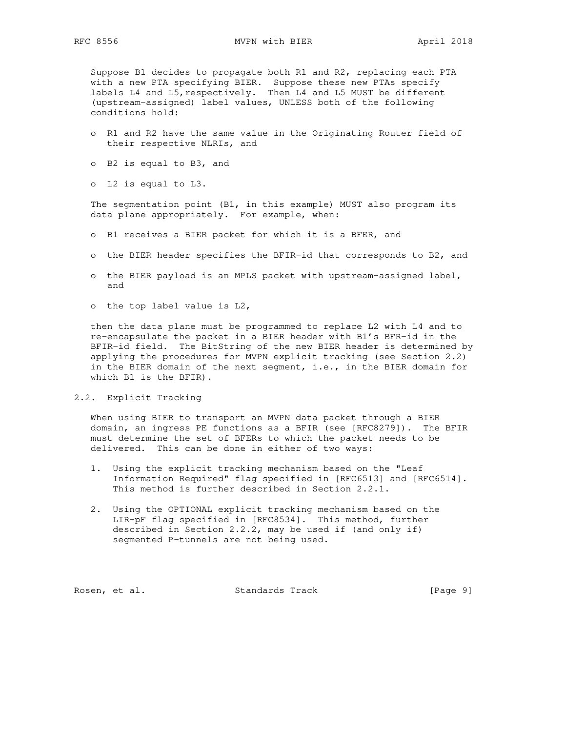Suppose B1 decides to propagate both R1 and R2, replacing each PTA with a new PTA specifying BIER. Suppose these new PTAs specify labels L4 and L5,respectively. Then L4 and L5 MUST be different (upstream-assigned) label values, UNLESS both of the following conditions hold:

- o R1 and R2 have the same value in the Originating Router field of their respective NLRIs, and
- o B2 is equal to B3, and
- o L2 is equal to L3.

 The segmentation point (B1, in this example) MUST also program its data plane appropriately. For example, when:

- o B1 receives a BIER packet for which it is a BFER, and
- o the BIER header specifies the BFIR-id that corresponds to B2, and
- o the BIER payload is an MPLS packet with upstream-assigned label, and
- o the top label value is L2,

 then the data plane must be programmed to replace L2 with L4 and to re-encapsulate the packet in a BIER header with B1's BFR-id in the BFIR-id field. The BitString of the new BIER header is determined by applying the procedures for MVPN explicit tracking (see Section 2.2) in the BIER domain of the next segment, i.e., in the BIER domain for which B1 is the BFIR).

2.2. Explicit Tracking

 When using BIER to transport an MVPN data packet through a BIER domain, an ingress PE functions as a BFIR (see [RFC8279]). The BFIR must determine the set of BFERs to which the packet needs to be delivered. This can be done in either of two ways:

- 1. Using the explicit tracking mechanism based on the "Leaf Information Required" flag specified in [RFC6513] and [RFC6514]. This method is further described in Section 2.2.1.
- 2. Using the OPTIONAL explicit tracking mechanism based on the LIR-pF flag specified in [RFC8534]. This method, further described in Section 2.2.2, may be used if (and only if) segmented P-tunnels are not being used.

Rosen, et al. Standards Track [Page 9]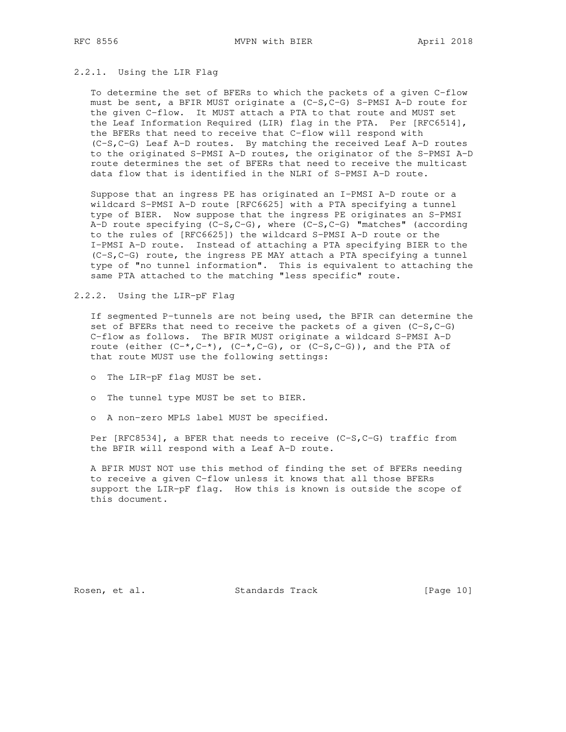### 2.2.1. Using the LIR Flag

 To determine the set of BFERs to which the packets of a given C-flow must be sent, a BFIR MUST originate a (C-S,C-G) S-PMSI A-D route for the given C-flow. It MUST attach a PTA to that route and MUST set the Leaf Information Required (LIR) flag in the PTA. Per [RFC6514], the BFERs that need to receive that C-flow will respond with (C-S,C-G) Leaf A-D routes. By matching the received Leaf A-D routes to the originated S-PMSI A-D routes, the originator of the S-PMSI A-D route determines the set of BFERs that need to receive the multicast data flow that is identified in the NLRI of S-PMSI A-D route.

 Suppose that an ingress PE has originated an I-PMSI A-D route or a wildcard S-PMSI A-D route [RFC6625] with a PTA specifying a tunnel type of BIER. Now suppose that the ingress PE originates an S-PMSI A-D route specifying (C-S,C-G), where (C-S,C-G) "matches" (according to the rules of [RFC6625]) the wildcard S-PMSI A-D route or the I-PMSI A-D route. Instead of attaching a PTA specifying BIER to the (C-S,C-G) route, the ingress PE MAY attach a PTA specifying a tunnel type of "no tunnel information". This is equivalent to attaching the same PTA attached to the matching "less specific" route.

2.2.2. Using the LIR-pF Flag

 If segmented P-tunnels are not being used, the BFIR can determine the set of BFERs that need to receive the packets of a given (C-S, C-G) C-flow as follows. The BFIR MUST originate a wildcard S-PMSI A-D route (either  $(C^{-*}, C^{-*})$ ,  $(C^{-*}, C^{-}G)$ , or  $(C-S, C-G)$ ), and the PTA of that route MUST use the following settings:

- o The LIR-pF flag MUST be set.
- o The tunnel type MUST be set to BIER.
- o A non-zero MPLS label MUST be specified.

Per [RFC8534], a BFER that needs to receive (C-S,C-G) traffic from the BFIR will respond with a Leaf A-D route.

 A BFIR MUST NOT use this method of finding the set of BFERs needing to receive a given C-flow unless it knows that all those BFERs support the LIR-pF flag. How this is known is outside the scope of this document.

Rosen, et al. Standards Track [Page 10]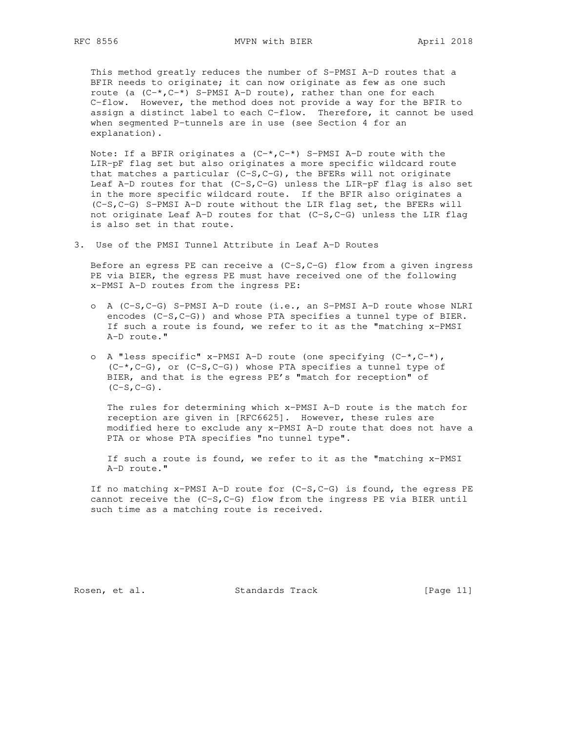This method greatly reduces the number of S-PMSI A-D routes that a BFIR needs to originate; it can now originate as few as one such route (a  $(C^{-*}, C^{-*})$  S-PMSI A-D route), rather than one for each C-flow. However, the method does not provide a way for the BFIR to assign a distinct label to each C-flow. Therefore, it cannot be used when segmented P-tunnels are in use (see Section 4 for an explanation).

Note: If a BFIR originates a  $(C-*$ ,  $C-*$ ) S-PMSI A-D route with the LIR-pF flag set but also originates a more specific wildcard route that matches a particular  $(C-S, C-G)$ , the BFERs will not originate Leaf A-D routes for that  $(C-S, C-G)$  unless the LIR-pF flag is also set in the more specific wildcard route. If the BFIR also originates a (C-S,C-G) S-PMSI A-D route without the LIR flag set, the BFERs will not originate Leaf A-D routes for that  $(C-S, C-G)$  unless the LIR flag is also set in that route.

3. Use of the PMSI Tunnel Attribute in Leaf A-D Routes

Before an egress PE can receive a  $(C-S, C-G)$  flow from a given ingress PE via BIER, the egress PE must have received one of the following x-PMSI A-D routes from the ingress PE:

- o A (C-S,C-G) S-PMSI A-D route (i.e., an S-PMSI A-D route whose NLRI encodes (C-S, C-G)) and whose PTA specifies a tunnel type of BIER. If such a route is found, we refer to it as the "matching x-PMSI A-D route."
- o A "less specific" x-PMSI A-D route (one specifying (C-\*,C-\*),  $(C-*$ , C-G), or  $(C-S$ , C-G)) whose PTA specifies a tunnel type of BIER, and that is the egress PE's "match for reception" of  $(C-S, C-G)$ .

 The rules for determining which x-PMSI A-D route is the match for reception are given in [RFC6625]. However, these rules are modified here to exclude any x-PMSI A-D route that does not have a PTA or whose PTA specifies "no tunnel type".

 If such a route is found, we refer to it as the "matching x-PMSI A-D route."

 If no matching x-PMSI A-D route for (C-S,C-G) is found, the egress PE cannot receive the (C-S,C-G) flow from the ingress PE via BIER until such time as a matching route is received.

Rosen, et al. Standards Track [Page 11]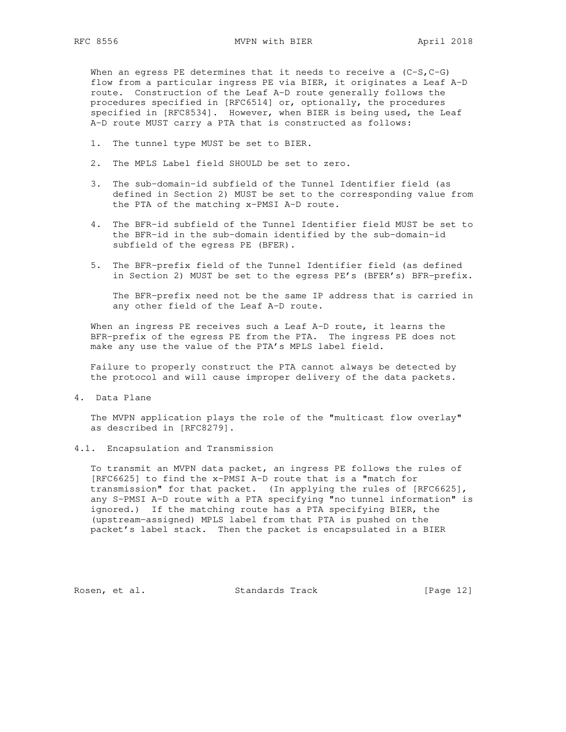When an egress PE determines that it needs to receive a  $(C-S, C-G)$  flow from a particular ingress PE via BIER, it originates a Leaf A-D route. Construction of the Leaf A-D route generally follows the procedures specified in [RFC6514] or, optionally, the procedures specified in [RFC8534]. However, when BIER is being used, the Leaf A-D route MUST carry a PTA that is constructed as follows:

- 1. The tunnel type MUST be set to BIER.
- 2. The MPLS Label field SHOULD be set to zero.
- 3. The sub-domain-id subfield of the Tunnel Identifier field (as defined in Section 2) MUST be set to the corresponding value from the PTA of the matching x-PMSI A-D route.
- 4. The BFR-id subfield of the Tunnel Identifier field MUST be set to the BFR-id in the sub-domain identified by the sub-domain-id subfield of the egress PE (BFER).
- 5. The BFR-prefix field of the Tunnel Identifier field (as defined in Section 2) MUST be set to the egress PE's (BFER's) BFR-prefix.

 The BFR-prefix need not be the same IP address that is carried in any other field of the Leaf A-D route.

When an ingress PE receives such a Leaf A-D route, it learns the BFR-prefix of the egress PE from the PTA. The ingress PE does not make any use the value of the PTA's MPLS label field.

 Failure to properly construct the PTA cannot always be detected by the protocol and will cause improper delivery of the data packets.

4. Data Plane

 The MVPN application plays the role of the "multicast flow overlay" as described in [RFC8279].

4.1. Encapsulation and Transmission

 To transmit an MVPN data packet, an ingress PE follows the rules of [RFC6625] to find the x-PMSI A-D route that is a "match for transmission" for that packet. (In applying the rules of [RFC6625], any S-PMSI A-D route with a PTA specifying "no tunnel information" is ignored.) If the matching route has a PTA specifying BIER, the (upstream-assigned) MPLS label from that PTA is pushed on the packet's label stack. Then the packet is encapsulated in a BIER

Rosen, et al. Standards Track [Page 12]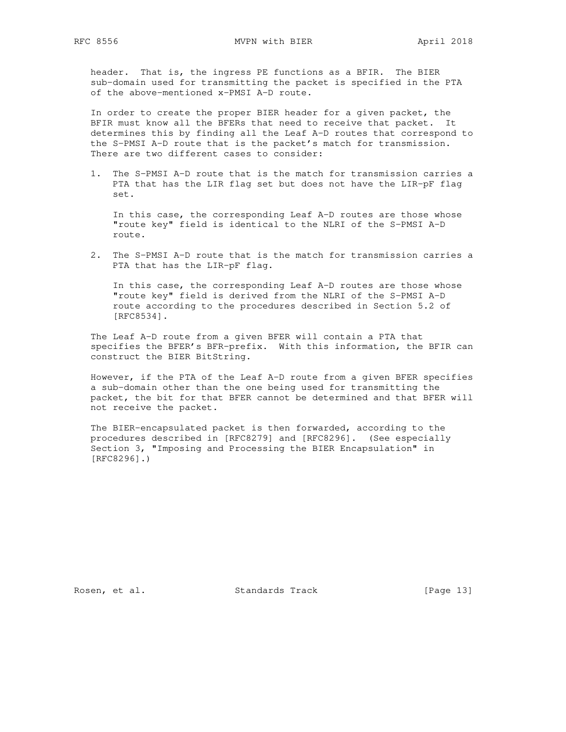header. That is, the ingress PE functions as a BFIR. The BIER sub-domain used for transmitting the packet is specified in the PTA of the above-mentioned x-PMSI A-D route.

 In order to create the proper BIER header for a given packet, the BFIR must know all the BFERs that need to receive that packet. It determines this by finding all the Leaf A-D routes that correspond to the S-PMSI A-D route that is the packet's match for transmission. There are two different cases to consider:

 1. The S-PMSI A-D route that is the match for transmission carries a PTA that has the LIR flag set but does not have the LIR-pF flag set.

 In this case, the corresponding Leaf A-D routes are those whose "route key" field is identical to the NLRI of the S-PMSI A-D route.

 2. The S-PMSI A-D route that is the match for transmission carries a PTA that has the LIR-pF flag.

 In this case, the corresponding Leaf A-D routes are those whose "route key" field is derived from the NLRI of the S-PMSI A-D route according to the procedures described in Section 5.2 of [RFC8534].

 The Leaf A-D route from a given BFER will contain a PTA that specifies the BFER's BFR-prefix. With this information, the BFIR can construct the BIER BitString.

 However, if the PTA of the Leaf A-D route from a given BFER specifies a sub-domain other than the one being used for transmitting the packet, the bit for that BFER cannot be determined and that BFER will not receive the packet.

 The BIER-encapsulated packet is then forwarded, according to the procedures described in [RFC8279] and [RFC8296]. (See especially Section 3, "Imposing and Processing the BIER Encapsulation" in [RFC8296].)

Rosen, et al. Standards Track [Page 13]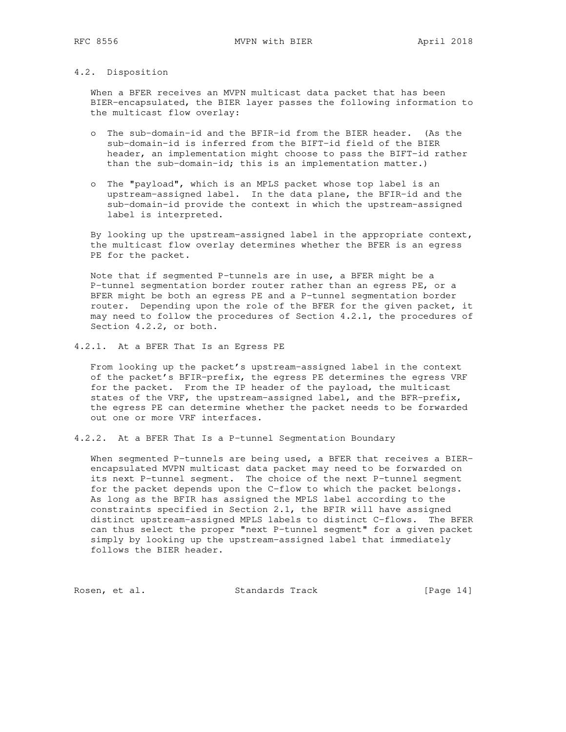## 4.2. Disposition

 When a BFER receives an MVPN multicast data packet that has been BIER-encapsulated, the BIER layer passes the following information to the multicast flow overlay:

- o The sub-domain-id and the BFIR-id from the BIER header. (As the sub-domain-id is inferred from the BIFT-id field of the BIER header, an implementation might choose to pass the BIFT-id rather than the sub-domain-id; this is an implementation matter.)
- o The "payload", which is an MPLS packet whose top label is an upstream-assigned label. In the data plane, the BFIR-id and the sub-domain-id provide the context in which the upstream-assigned label is interpreted.

 By looking up the upstream-assigned label in the appropriate context, the multicast flow overlay determines whether the BFER is an egress PE for the packet.

 Note that if segmented P-tunnels are in use, a BFER might be a P-tunnel segmentation border router rather than an egress PE, or a BFER might be both an egress PE and a P-tunnel segmentation border router. Depending upon the role of the BFER for the given packet, it may need to follow the procedures of Section 4.2.1, the procedures of Section 4.2.2, or both.

4.2.1. At a BFER That Is an Egress PE

 From looking up the packet's upstream-assigned label in the context of the packet's BFIR-prefix, the egress PE determines the egress VRF for the packet. From the IP header of the payload, the multicast states of the VRF, the upstream-assigned label, and the BFR-prefix, the egress PE can determine whether the packet needs to be forwarded out one or more VRF interfaces.

4.2.2. At a BFER That Is a P-tunnel Segmentation Boundary

When segmented P-tunnels are being used, a BFER that receives a BIER encapsulated MVPN multicast data packet may need to be forwarded on its next P-tunnel segment. The choice of the next P-tunnel segment for the packet depends upon the C-flow to which the packet belongs. As long as the BFIR has assigned the MPLS label according to the constraints specified in Section 2.1, the BFIR will have assigned distinct upstream-assigned MPLS labels to distinct C-flows. The BFER can thus select the proper "next P-tunnel segment" for a given packet simply by looking up the upstream-assigned label that immediately follows the BIER header.

Rosen, et al. Standards Track [Page 14]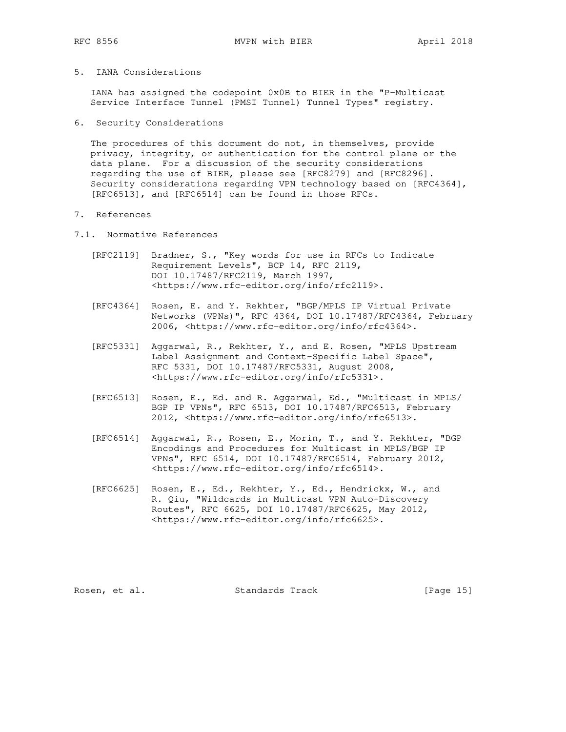# 5. IANA Considerations

 IANA has assigned the codepoint 0x0B to BIER in the "P-Multicast Service Interface Tunnel (PMSI Tunnel) Tunnel Types" registry.

6. Security Considerations

 The procedures of this document do not, in themselves, provide privacy, integrity, or authentication for the control plane or the data plane. For a discussion of the security considerations regarding the use of BIER, please see [RFC8279] and [RFC8296]. Security considerations regarding VPN technology based on [RFC4364], [RFC6513], and [RFC6514] can be found in those RFCs.

- 7. References
- 7.1. Normative References
	- [RFC2119] Bradner, S., "Key words for use in RFCs to Indicate Requirement Levels", BCP 14, RFC 2119, DOI 10.17487/RFC2119, March 1997, <https://www.rfc-editor.org/info/rfc2119>.
	- [RFC4364] Rosen, E. and Y. Rekhter, "BGP/MPLS IP Virtual Private Networks (VPNs)", RFC 4364, DOI 10.17487/RFC4364, February 2006, <https://www.rfc-editor.org/info/rfc4364>.
	- [RFC5331] Aggarwal, R., Rekhter, Y., and E. Rosen, "MPLS Upstream Label Assignment and Context-Specific Label Space", RFC 5331, DOI 10.17487/RFC5331, August 2008, <https://www.rfc-editor.org/info/rfc5331>.
	- [RFC6513] Rosen, E., Ed. and R. Aggarwal, Ed., "Multicast in MPLS/ BGP IP VPNs", RFC 6513, DOI 10.17487/RFC6513, February 2012, <https://www.rfc-editor.org/info/rfc6513>.
	- [RFC6514] Aggarwal, R., Rosen, E., Morin, T., and Y. Rekhter, "BGP Encodings and Procedures for Multicast in MPLS/BGP IP VPNs", RFC 6514, DOI 10.17487/RFC6514, February 2012, <https://www.rfc-editor.org/info/rfc6514>.
	- [RFC6625] Rosen, E., Ed., Rekhter, Y., Ed., Hendrickx, W., and R. Qiu, "Wildcards in Multicast VPN Auto-Discovery Routes", RFC 6625, DOI 10.17487/RFC6625, May 2012, <https://www.rfc-editor.org/info/rfc6625>.

Rosen, et al. Standards Track [Page 15]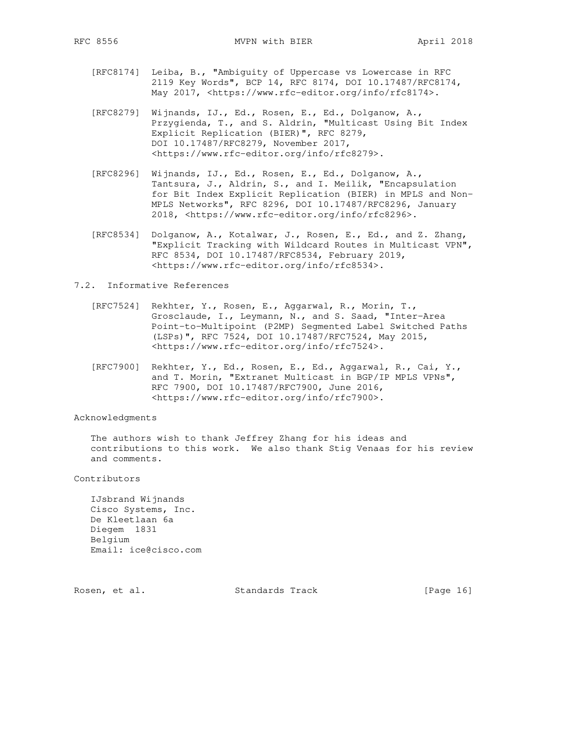- [RFC8174] Leiba, B., "Ambiguity of Uppercase vs Lowercase in RFC 2119 Key Words", BCP 14, RFC 8174, DOI 10.17487/RFC8174, May 2017, <https://www.rfc-editor.org/info/rfc8174>.
- [RFC8279] Wijnands, IJ., Ed., Rosen, E., Ed., Dolganow, A., Przygienda, T., and S. Aldrin, "Multicast Using Bit Index Explicit Replication (BIER)", RFC 8279, DOI 10.17487/RFC8279, November 2017, <https://www.rfc-editor.org/info/rfc8279>.
- [RFC8296] Wijnands, IJ., Ed., Rosen, E., Ed., Dolganow, A., Tantsura, J., Aldrin, S., and I. Meilik, "Encapsulation for Bit Index Explicit Replication (BIER) in MPLS and Non- MPLS Networks", RFC 8296, DOI 10.17487/RFC8296, January 2018, <https://www.rfc-editor.org/info/rfc8296>.
- [RFC8534] Dolganow, A., Kotalwar, J., Rosen, E., Ed., and Z. Zhang, "Explicit Tracking with Wildcard Routes in Multicast VPN", RFC 8534, DOI 10.17487/RFC8534, February 2019, <https://www.rfc-editor.org/info/rfc8534>.

### 7.2. Informative References

- [RFC7524] Rekhter, Y., Rosen, E., Aggarwal, R., Morin, T., Grosclaude, I., Leymann, N., and S. Saad, "Inter-Area Point-to-Multipoint (P2MP) Segmented Label Switched Paths (LSPs)", RFC 7524, DOI 10.17487/RFC7524, May 2015, <https://www.rfc-editor.org/info/rfc7524>.
- [RFC7900] Rekhter, Y., Ed., Rosen, E., Ed., Aggarwal, R., Cai, Y., and T. Morin, "Extranet Multicast in BGP/IP MPLS VPNs", RFC 7900, DOI 10.17487/RFC7900, June 2016, <https://www.rfc-editor.org/info/rfc7900>.

#### Acknowledgments

 The authors wish to thank Jeffrey Zhang for his ideas and contributions to this work. We also thank Stig Venaas for his review and comments.

Contributors

 IJsbrand Wijnands Cisco Systems, Inc. De Kleetlaan 6a Diegem 1831 Belgium Email: ice@cisco.com

Rosen, et al. Standards Track [Page 16]